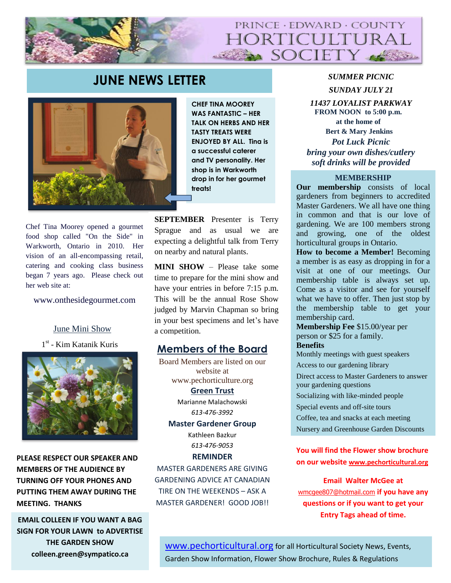

# **JUNE NEWS LETTER** *SUMMER PICNIC*



**CHEF TINA MOOREY WAS FANTASTIC – HER TALK ON HERBS AND HER TASTY TREATS WERE ENJOYED BY ALL. Tina is a successful caterer and TV personality. Her shop is in Warkworth drop in for her gourmet treats!** 

Chef Tina Moorey opened a gourmet food shop called "On the Side" in Warkworth, Ontario in 2010. Her vision of an all-encompassing retail, catering and cooking class business began 7 years ago. Please check out her web site at:

www.onthesidegourmet.com

## June Mini Show

1 st - Kim Katanik Kuris



**PLEASE RESPECT OUR SPEAKER AND MEMBERS OF THE AUDIENCE BY TURNING OFF YOUR PHONES AND PUTTING THEM AWAY DURING THE MEETING. THANKS**

**SIGN FOR YOUR LAWN to ADVERTISE THE GARDEN SHOW colleen.green@sympatico.ca**

**SEPTEMBER** Presenter is Terry Sprague and as usual we are expecting a delightful talk from Terry on nearby and natural plants.

**MINI SHOW** – Please take some time to prepare for the mini show and have your entries in before 7:15 p.m. This will be the annual Rose Show judged by Marvin Chapman so bring in your best specimens and let's have a competition.

## **Members of the Board**

Board Members are listed on our website at www.pechorticulture.org **Green Trust**  Marianne Malachowski *613-476-3992*

**Master Gardener Group**

Kathleen Bazkur *613-476-9053*

**REMINDER**

MASTER GARDENERS ARE GIVING GARDENING ADVICE AT CANADIAN TIRE ON THE WEEKENDS – ASK A MASTER GARDENER! GOOD JOB!!

*SUNDAY JULY 21*

*11437 LOYALIST PARKWAY* **FROM NOON to 5:00 p.m. at the home of Bert & Mary Jenkins** *Pot Luck Picnic bring your own dishes/cutlery soft drinks will be provided*

#### **MEMBERSHIP**

**Our membership** consists of local gardeners from beginners to accredited Master Gardeners. We all have one thing in common and that is our love of gardening. We are 100 members strong and growing, one of the oldest horticultural groups in Ontario.

**How to become a Member!** Becoming a member is as easy as dropping in for a visit at one of our meetings. Our membership table is always set up. Come as a visitor and see for yourself what we have to offer. Then just stop by the membership table to get your membership card.

**Membership Fee** \$15.00/year per person or \$25 for a family.

## **Benefits**

Monthly meetings with guest speakers

Access to our gardening library

Direct access to Master Gardeners to answer your gardening questions

Socializing with like-minded people

Special events and off-site tours

Coffee, tea and snacks at each meeting

Nursery and Greenhouse Garden Discounts

## **You will find the Flower show brochure on our website [www.pechorticultural.org](http://www.pechorticultural.org/)**

**Email Walter McGee at** [wmcgee807@hotmail.com](mailto:wmcgee807@hotmail.com) **if you have any questions or if you want to get your Entry Tags ahead of time. EMAIL COLLEEN IF YOU WANT A BAG** 

> [www.pechorticultural.org](http://www.pechorticultural.org/) for all Horticultural Society News, Events, Garden Show Information, Flower Show Brochure, Rules & Regulations